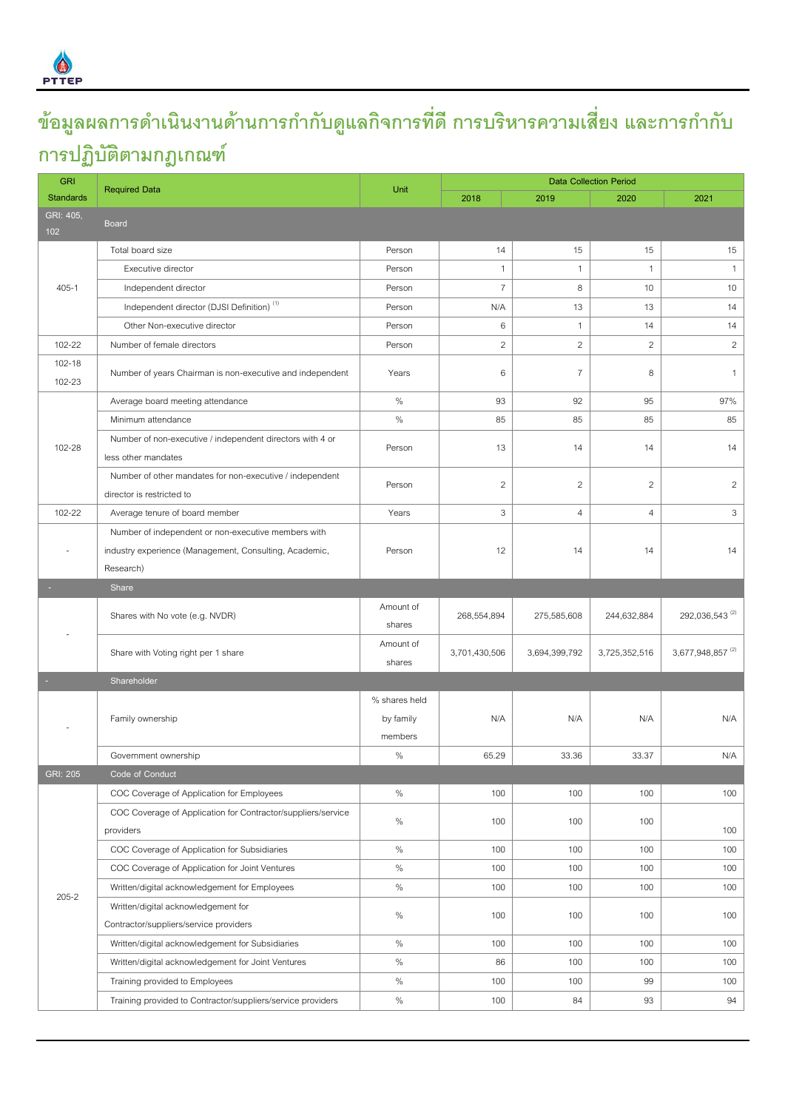

## **ข้อมูลผลการดา เนินงานดา้นการกา กับดแู ลกิจการทดี่ ีการบรหิารความเสี่ยง และการกา กับ การปฏิบัติตามกฎเกณฑ์**

| <b>GRI</b>                                                                                 | <b>Required Data</b>                                                |                                       | <b>Data Collection Period</b> |                |                |                              |  |  |
|--------------------------------------------------------------------------------------------|---------------------------------------------------------------------|---------------------------------------|-------------------------------|----------------|----------------|------------------------------|--|--|
| <b>Standards</b>                                                                           |                                                                     |                                       | 2018                          | 2019           | 2020           | 2021                         |  |  |
| GRI: 405,<br><b>Board</b><br>102                                                           |                                                                     |                                       |                               |                |                |                              |  |  |
| Total board size                                                                           |                                                                     | Person                                | 14                            | 15             | 15             | 15                           |  |  |
| Executive director                                                                         |                                                                     | Person                                | $\mathbf{1}$                  | $\mathbf{1}$   | $\mathbf{1}$   | $\mathbf{1}$                 |  |  |
| $405 - 1$<br>Independent director                                                          |                                                                     | Person                                | $\overline{7}$                | 8              | 10             | 10                           |  |  |
| Independent director (DJSI Definition) <sup>(1)</sup>                                      |                                                                     | Person                                | N/A                           | 13             | 13             | 14                           |  |  |
| Other Non-executive director                                                               |                                                                     | Person                                | $\,6$                         | $\mathbf{1}$   | 14             | 14                           |  |  |
| 102-22                                                                                     | Number of female directors                                          |                                       | $\overline{a}$                | $\mathbf{2}$   | $\mathbf{2}$   | $\overline{2}$               |  |  |
| 102-18<br>102-23                                                                           | Number of years Chairman is non-executive and independent           |                                       | 6                             | $\overline{7}$ | 8              | $\mathbf{1}$                 |  |  |
| Average board meeting attendance                                                           |                                                                     | $\%$                                  | 93                            | 92             | 95             | 97%                          |  |  |
| Minimum attendance                                                                         |                                                                     | $\%$                                  | 85                            | 85             | 85             | 85                           |  |  |
| 102-28<br>less other mandates                                                              | Number of non-executive / independent directors with 4 or           | Person                                | 13                            | 14             | 14             | 14                           |  |  |
| director is restricted to                                                                  | Number of other mandates for non-executive / independent            | Person                                | $\overline{c}$                | $\overline{2}$ | $\mathbf{2}$   | $\overline{2}$               |  |  |
| 102-22<br>Average tenure of board member                                                   |                                                                     | Years                                 | 3                             | $\overline{4}$ | $\overline{4}$ | 3                            |  |  |
|                                                                                            | Number of independent or non-executive members with                 |                                       |                               |                |                |                              |  |  |
|                                                                                            | industry experience (Management, Consulting, Academic,<br>Research) |                                       | 12                            | 14             | 14             | 14                           |  |  |
|                                                                                            |                                                                     |                                       |                               |                |                |                              |  |  |
| Share                                                                                      |                                                                     |                                       |                               |                |                |                              |  |  |
| Shares with No vote (e.g. NVDR)                                                            |                                                                     | Amount of<br>shares                   | 268,554,894                   | 275,585,608    | 244,632,884    | 292,036,543 <sup>(2)</sup>   |  |  |
| Share with Voting right per 1 share                                                        |                                                                     | Amount of<br>shares                   | 3,701,430,506                 | 3,694,399,792  | 3,725,352,516  | 3,677,948,857 <sup>(2)</sup> |  |  |
| Shareholder                                                                                |                                                                     |                                       |                               |                |                |                              |  |  |
| Family ownership                                                                           |                                                                     | % shares held<br>by family<br>members | N/A                           | N/A            | N/A            | N/A                          |  |  |
| Government ownership                                                                       |                                                                     | $\%$                                  | 65.29                         | 33.36          | 33.37          | N/A                          |  |  |
| <b>GRI: 205</b><br>Code of Conduct                                                         |                                                                     |                                       |                               |                |                |                              |  |  |
| COC Coverage of Application for Employees                                                  |                                                                     | $\%$                                  | 100                           | 100            | 100            | 100                          |  |  |
| providers                                                                                  | COC Coverage of Application for Contractor/suppliers/service        | $\%$                                  | 100                           | 100            | 100            | 100                          |  |  |
| COC Coverage of Application for Subsidiaries                                               |                                                                     | $\%$                                  | 100                           | 100            | 100            | 100                          |  |  |
|                                                                                            | COC Coverage of Application for Joint Ventures                      | $\%$                                  | 100                           | 100            | 100            | 100                          |  |  |
| Written/digital acknowledgement for Employees                                              |                                                                     | $\%$                                  | 100                           | 100            | 100            | 100                          |  |  |
| $205 - 2$<br>Written/digital acknowledgement for<br>Contractor/suppliers/service providers |                                                                     |                                       | 100                           | 100            | 100            | 100                          |  |  |
|                                                                                            |                                                                     | $\%$                                  |                               |                |                |                              |  |  |
|                                                                                            | Written/digital acknowledgement for Subsidiaries                    | $\%$                                  | 100                           | 100            | 100            | 100                          |  |  |
|                                                                                            | Written/digital acknowledgement for Joint Ventures                  | $\%$                                  | 86                            | 100            | 100            | 100                          |  |  |
| Training provided to Employees                                                             |                                                                     | $\%$                                  | 100                           | 100            | 99             | 100                          |  |  |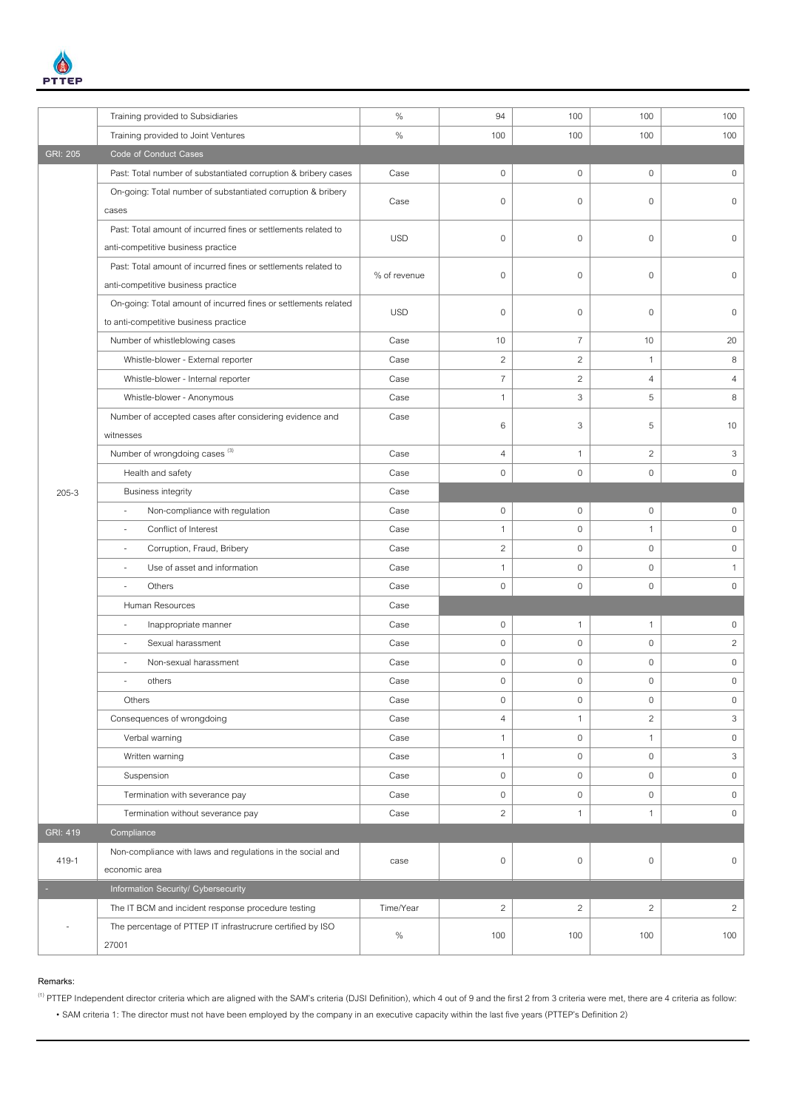

|                                       | Training provided to Subsidiaries                               | $\%$         | 94             | 100                 | 100            | 100                 |
|---------------------------------------|-----------------------------------------------------------------|--------------|----------------|---------------------|----------------|---------------------|
|                                       | Training provided to Joint Ventures                             | $\%$         | 100            | 100                 | 100            | 100                 |
| <b>GRI: 205</b>                       | <b>Code of Conduct Cases</b>                                    |              |                |                     |                |                     |
|                                       | Past: Total number of substantiated corruption & bribery cases  | Case         | $\mathbf 0$    | $\mathbf 0$         | $\mathbf 0$    | $\mathbf 0$         |
|                                       | On-going: Total number of substantiated corruption & bribery    |              |                |                     |                |                     |
|                                       | cases                                                           | Case         | $\mathbf 0$    | $\mathbf 0$         | $\mathbf 0$    | 0                   |
|                                       | Past: Total amount of incurred fines or settlements related to  |              |                |                     |                |                     |
|                                       | anti-competitive business practice                              | <b>USD</b>   | $\mathbf 0$    | $\mathbf 0$         | $\mathbf 0$    | $\mathbf 0$         |
|                                       | Past: Total amount of incurred fines or settlements related to  | % of revenue | $\mathbf 0$    | $\mathbf 0$         | $\mathbf{0}$   | $\mathbf 0$         |
|                                       | anti-competitive business practice                              |              |                |                     |                |                     |
|                                       | On-going: Total amount of incurred fines or settlements related | <b>USD</b>   | $\mathbf 0$    | $\mathbf 0$         | $\mathbf{0}$   | $\mathsf{O}\xspace$ |
| to anti-competitive business practice |                                                                 |              |                |                     |                |                     |
|                                       | Number of whistleblowing cases                                  | Case         | 10             | $\overline{7}$      | 10             | 20                  |
|                                       | Whistle-blower - External reporter                              | Case         | $\sqrt{2}$     | $\overline{c}$      | 1              | $\,8\,$             |
|                                       | Whistle-blower - Internal reporter                              | Case         | $\overline{7}$ | $\mathbf{2}$        | $\overline{4}$ | $\overline{4}$      |
|                                       | Whistle-blower - Anonymous                                      | Case         | $\mathbf{1}$   | 3                   | 5              | $\,8\,$             |
|                                       | Number of accepted cases after considering evidence and         | Case         |                | 3                   | 5              | 10                  |
|                                       | witnesses                                                       |              | 6              |                     |                |                     |
|                                       | Number of wrongdoing cases <sup>(3)</sup>                       | Case         | $\overline{4}$ | $\mathbf{1}$        | $\overline{c}$ | 3                   |
| $205 - 3$                             | Health and safety                                               | Case         | $\mathbf 0$    | $\mathbf 0$         | $\mathbf 0$    | $\mathbf 0$         |
|                                       | <b>Business integrity</b>                                       | Case         |                |                     |                |                     |
|                                       | Non-compliance with regulation<br>$\overline{\phantom{a}}$      | Case         | $\,0\,$        | $\mathbf 0$         | $\mathbf{0}$   | $\mathbf 0$         |
|                                       | Conflict of Interest<br>$\sim$                                  | Case         | $\mathbf{1}$   | $\mathbf 0$         | $\mathbf{1}$   | $\mathbf 0$         |
|                                       | Corruption, Fraud, Bribery<br>$\overline{\phantom{a}}$          | Case         | $\overline{c}$ | $\mathbf 0$         | $\mathbf 0$    | $\mathsf{O}\xspace$ |
|                                       | Use of asset and information<br>$\overline{\phantom{a}}$        | Case         | $\mathbf{1}$   | $\mathbf 0$         | $\mathbf 0$    | $\mathbf{1}$        |
|                                       | Others                                                          | Case         | $\mathbf 0$    | $\mathbf 0$         | $\mathbf 0$    | $\mathbf 0$         |
|                                       | Human Resources                                                 | Case         |                |                     |                |                     |
|                                       | Inappropriate manner<br>$\overline{\phantom{a}}$                | Case         | $\mathbf 0$    | $\mathbf{1}$        | $\mathbf{1}$   | $\mathbf 0$         |
|                                       | Sexual harassment<br>$\overline{\phantom{a}}$                   | Case         | $\,0\,$        | $\mathbf 0$         | $\mathbf 0$    | $\overline{c}$      |
|                                       | Non-sexual harassment<br>$\overline{\phantom{a}}$               | Case         | $\mathbf 0$    | $\mathbf 0$         | $\mathbf 0$    | $\mathbb O$         |
|                                       | others                                                          | Case         | $\mathbf 0$    | $\mathbf 0$         | $\mathbf 0$    | $\mathbb O$         |
|                                       | Others                                                          | Case         | $\,0\,$        | $\,0\,$             | $\,0\,$        | $\,0\,$             |
|                                       | Consequences of wrongdoing                                      | Case         | $\overline{4}$ | $\mathbf{1}$        | $\overline{c}$ | 3                   |
|                                       | Verbal warning                                                  | Case         | $\mathbf{1}$   | $\mathsf{O}\xspace$ | $\mathbf{1}$   | $\mathsf{O}\xspace$ |
|                                       | Written warning                                                 | Case         | $\mathbf{1}$   | $\mathbf 0$         | $\mathbf 0$    | 3                   |
|                                       | Suspension                                                      | Case         | $\mathbf 0$    | $\mathbf 0$         | $\mathbf 0$    | $\mathsf{O}\xspace$ |
|                                       | Termination with severance pay                                  | Case         | $\mathbf 0$    | $\mathsf{O}\xspace$ | $\mathbf 0$    | $\mathbb O$         |
|                                       | Termination without severance pay                               | Case         | $\overline{c}$ | $\mathbf{1}$        | $\mathbf{1}$   | $\mathbf 0$         |
| <b>GRI: 419</b>                       | Compliance                                                      |              |                |                     |                |                     |
| 419-1                                 | Non-compliance with laws and regulations in the social and      | case         | $\mathbf 0$    | $\mathbf 0$         | $\mathbf 0$    | $\mathbb O$         |
|                                       | economic area                                                   |              |                |                     |                |                     |
| Information Security/ Cybersecurity   |                                                                 |              |                |                     |                |                     |
|                                       | The IT BCM and incident response procedure testing              | Time/Year    | $\mathbf{2}$   | $\overline{a}$      | $\overline{c}$ | $\overline{c}$      |
| $\overline{\phantom{a}}$              | The percentage of PTTEP IT infrastrucrure certified by ISO      | $\%$         | 100            | 100                 | 100            | 100                 |
|                                       | 27001                                                           |              |                |                     |                |                     |

## **Remarks:**

<sup>(1)</sup> PTTEP Independent director criteria which are aligned with the SAM's criteria (DJSI Definition), which 4 out of 9 and the first 2 from 3 criteria were met, there are 4 criteria as follow: • SAM criteria 1: The director must not have been employed by the company in an executive capacity within the last five years (PTTEP's Definition 2)